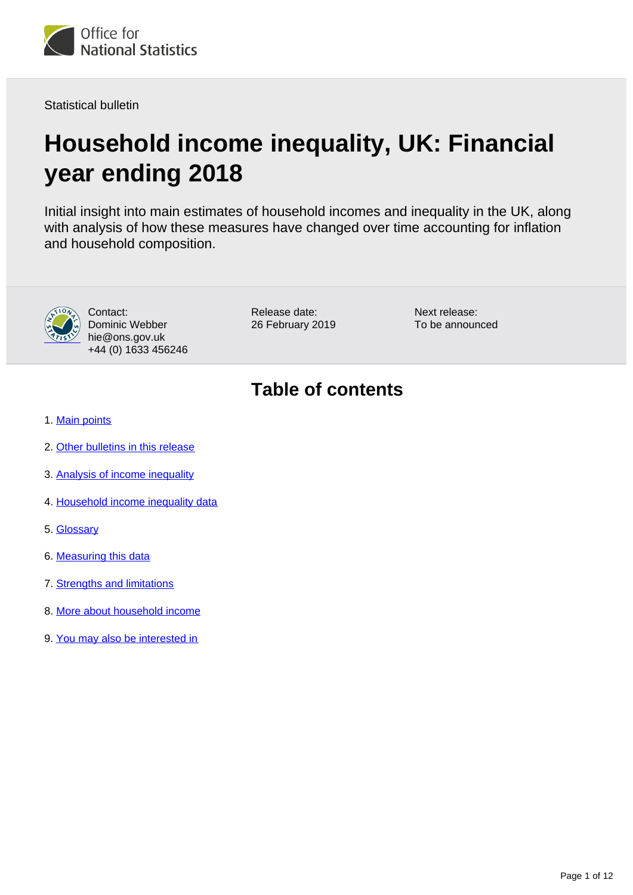

Statistical bulletin

# **Household income inequality, UK: Financial year ending 2018**

Initial insight into main estimates of household incomes and inequality in the UK, along with analysis of how these measures have changed over time accounting for inflation and household composition.



Contact: Dominic Webber hie@ons.gov.uk +44 (0) 1633 456246

Release date: 26 February 2019 Next release: To be announced

## **Table of contents**

- 1. [Main points](#page-1-0)
- 2. [Other bulletins in this release](#page-1-1)
- 3. [Analysis of income inequality](#page-2-0)
- 4. [Household income inequality data](#page-7-0)
- 5. [Glossary](#page-7-1)
- 6. [Measuring this data](#page-8-0)
- 7. [Strengths and limitations](#page-9-0)
- 8. [More about household income](#page-9-1)
- 9. [You may also be interested in](#page-10-0)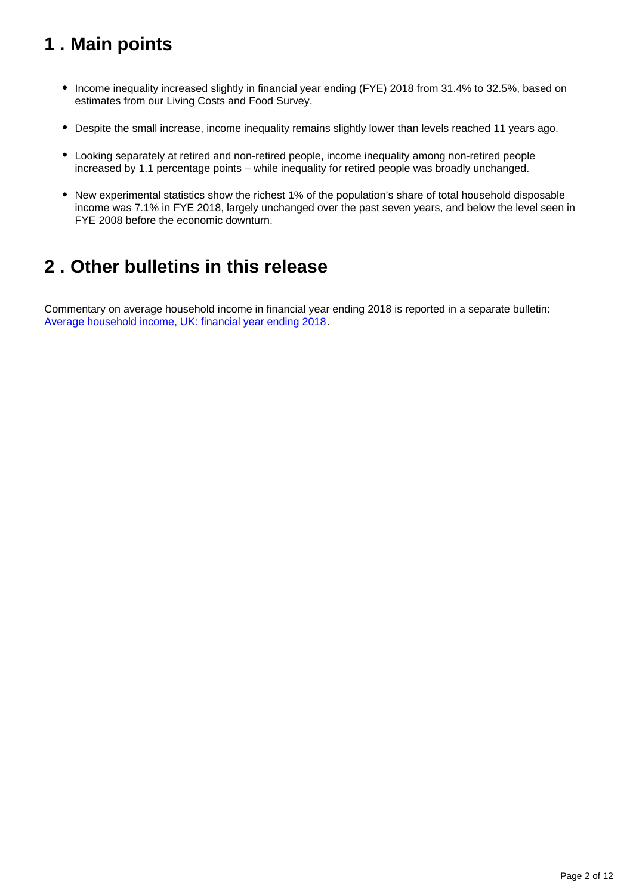## <span id="page-1-0"></span>**1 . Main points**

- Income inequality increased slightly in financial year ending (FYE) 2018 from 31.4% to 32.5%, based on estimates from our Living Costs and Food Survey.
- Despite the small increase, income inequality remains slightly lower than levels reached 11 years ago.
- Looking separately at retired and non-retired people, income inequality among non-retired people increased by 1.1 percentage points – while inequality for retired people was broadly unchanged.
- New experimental statistics show the richest 1% of the population's share of total household disposable income was 7.1% in FYE 2018, largely unchanged over the past seven years, and below the level seen in FYE 2008 before the economic downturn.

## <span id="page-1-1"></span>**2 . Other bulletins in this release**

Commentary on average household income in financial year ending 2018 is reported in a separate bulletin: [Average household income, UK: financial year ending 2018.](https://www.ons.gov.uk/peoplepopulationandcommunity/personalandhouseholdfinances/incomeandwealth/bulletins/householddisposableincomeandinequality/yearending2018)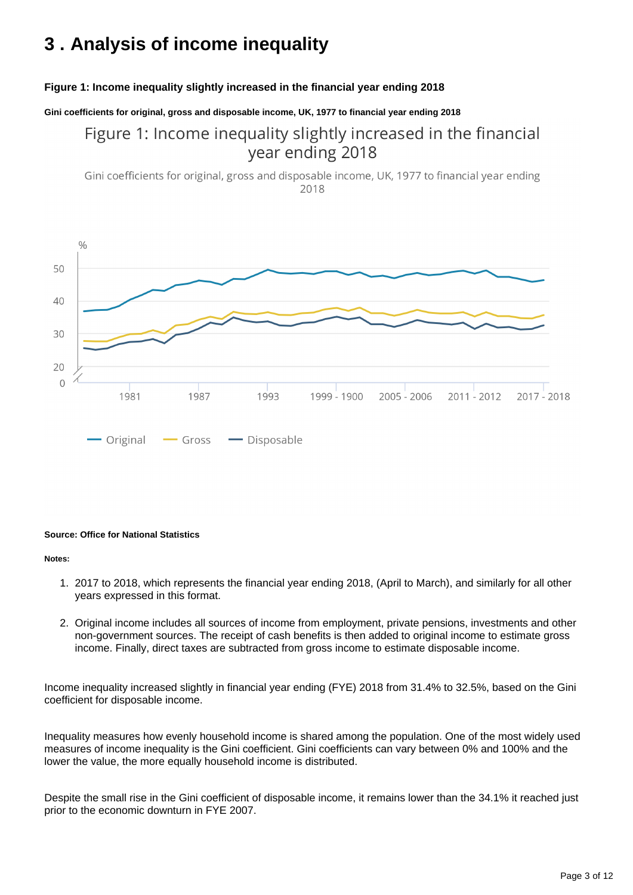## <span id="page-2-0"></span>**3 . Analysis of income inequality**

#### **Figure 1: Income inequality slightly increased in the financial year ending 2018**

**Gini coefficients for original, gross and disposable income, UK, 1977 to financial year ending 2018**

### Figure 1: Income inequality slightly increased in the financial year ending 2018

Gini coefficients for original, gross and disposable income, UK, 1977 to financial year ending 2018



#### **Source: Office for National Statistics**

#### **Notes:**

- 1. 2017 to 2018, which represents the financial year ending 2018, (April to March), and similarly for all other years expressed in this format.
- 2. Original income includes all sources of income from employment, private pensions, investments and other non-government sources. The receipt of cash benefits is then added to original income to estimate gross income. Finally, direct taxes are subtracted from gross income to estimate disposable income.

Income inequality increased slightly in financial year ending (FYE) 2018 from 31.4% to 32.5%, based on the Gini coefficient for disposable income.

Inequality measures how evenly household income is shared among the population. One of the most widely used measures of income inequality is the Gini coefficient. Gini coefficients can vary between 0% and 100% and the lower the value, the more equally household income is distributed.

Despite the small rise in the Gini coefficient of disposable income, it remains lower than the 34.1% it reached just prior to the economic downturn in FYE 2007.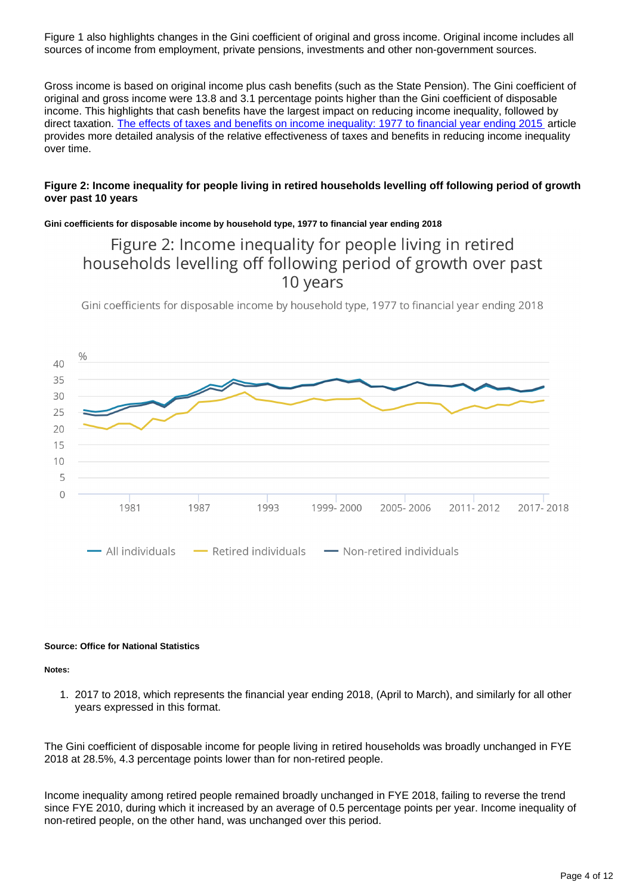Figure 1 also highlights changes in the Gini coefficient of original and gross income. Original income includes all sources of income from employment, private pensions, investments and other non-government sources.

Gross income is based on original income plus cash benefits (such as the State Pension). The Gini coefficient of original and gross income were 13.8 and 3.1 percentage points higher than the Gini coefficient of disposable income. This highlights that cash benefits have the largest impact on reducing income inequality, followed by direct taxation. [The effects of taxes and benefits on income inequality: 1977 to financial year ending 2015](https://www.ons.gov.uk/peoplepopulationandcommunity/personalandhouseholdfinances/incomeandwealth/bulletins/theeffectsoftaxesandbenefitsonincomeinequality/1977tofinancialyearending2015) article provides more detailed analysis of the relative effectiveness of taxes and benefits in reducing income inequality over time.

#### **Figure 2: Income inequality for people living in retired households levelling off following period of growth over past 10 years**

#### **Gini coefficients for disposable income by household type, 1977 to financial year ending 2018**

### Figure 2: Income inequality for people living in retired households levelling off following period of growth over past 10 years

Gini coefficients for disposable income by household type, 1977 to financial year ending 2018



#### **Source: Office for National Statistics**

**Notes:**

1. 2017 to 2018, which represents the financial year ending 2018, (April to March), and similarly for all other years expressed in this format.

The Gini coefficient of disposable income for people living in retired households was broadly unchanged in FYE 2018 at 28.5%, 4.3 percentage points lower than for non-retired people.

Income inequality among retired people remained broadly unchanged in FYE 2018, failing to reverse the trend since FYE 2010, during which it increased by an average of 0.5 percentage points per year. Income inequality of non-retired people, on the other hand, was unchanged over this period.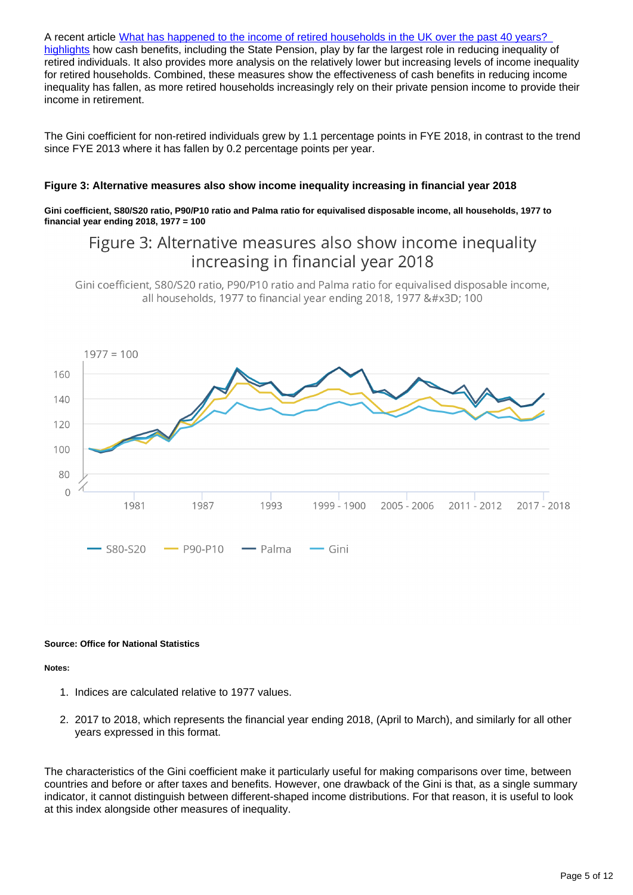A recent article What has happened to the income of retired households in the UK over the past 40 years? [highlights](https://www.ons.gov.uk/releases/whathashappenedtotheincomeofretiredhouseholdsoverthepast40years) how cash benefits, including the State Pension, play by far the largest role in reducing inequality of retired individuals. It also provides more analysis on the relatively lower but increasing levels of income inequality for retired households. Combined, these measures show the effectiveness of cash benefits in reducing income inequality has fallen, as more retired households increasingly rely on their private pension income to provide their income in retirement.

The Gini coefficient for non-retired individuals grew by 1.1 percentage points in FYE 2018, in contrast to the trend since FYE 2013 where it has fallen by 0.2 percentage points per year.

#### **Figure 3: Alternative measures also show income inequality increasing in financial year 2018**

**Gini coefficient, S80/S20 ratio, P90/P10 ratio and Palma ratio for equivalised disposable income, all households, 1977 to financial year ending 2018, 1977 = 100**

### Figure 3: Alternative measures also show income inequality increasing in financial year 2018

Gini coefficient, S80/S20 ratio, P90/P10 ratio and Palma ratio for equivalised disposable income, all households, 1977 to financial year ending 2018, 1977 = 100



#### **Source: Office for National Statistics**

**Notes:**

- 1. Indices are calculated relative to 1977 values.
- 2. 2017 to 2018, which represents the financial year ending 2018, (April to March), and similarly for all other years expressed in this format.

The characteristics of the Gini coefficient make it particularly useful for making comparisons over time, between countries and before or after taxes and benefits. However, one drawback of the Gini is that, as a single summary indicator, it cannot distinguish between different-shaped income distributions. For that reason, it is useful to look at this index alongside other measures of inequality.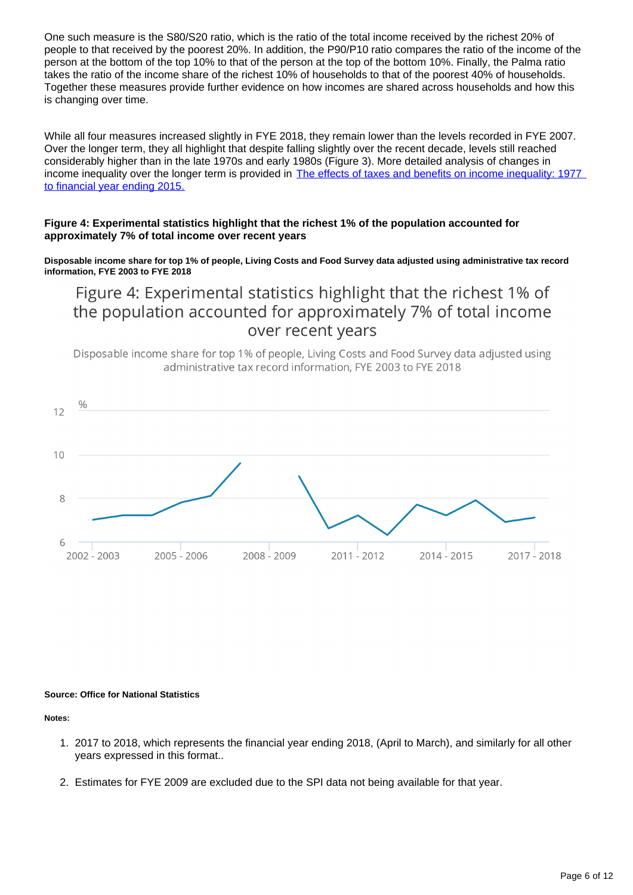One such measure is the S80/S20 ratio, which is the ratio of the total income received by the richest 20% of people to that received by the poorest 20%. In addition, the P90/P10 ratio compares the ratio of the income of the person at the bottom of the top 10% to that of the person at the top of the bottom 10%. Finally, the Palma ratio takes the ratio of the income share of the richest 10% of households to that of the poorest 40% of households. Together these measures provide further evidence on how incomes are shared across households and how this is changing over time.

While all four measures increased slightly in FYE 2018, they remain lower than the levels recorded in FYE 2007. Over the longer term, they all highlight that despite falling slightly over the recent decade, levels still reached considerably higher than in the late 1970s and early 1980s (Figure 3). More detailed analysis of changes in income inequality over the longer term is provided in The effects of taxes and benefits on income inequality: 1977 [to financial year ending 2015.](https://www.ons.gov.uk/peoplepopulationandcommunity/personalandhouseholdfinances/incomeandwealth/bulletins/theeffectsoftaxesandbenefitsonincomeinequality/1977tofinancialyearending2015)

#### **Figure 4: Experimental statistics highlight that the richest 1% of the population accounted for approximately 7% of total income over recent years**

**Disposable income share for top 1% of people, Living Costs and Food Survey data adjusted using administrative tax record information, FYE 2003 to FYE 2018**

Figure 4: Experimental statistics highlight that the richest 1% of the population accounted for approximately 7% of total income over recent years

Disposable income share for top 1% of people, Living Costs and Food Survey data adjusted using administrative tax record information. FYE 2003 to FYE 2018



#### **Source: Office for National Statistics**

#### **Notes:**

- 1. 2017 to 2018, which represents the financial year ending 2018, (April to March), and similarly for all other years expressed in this format..
- 2. Estimates for FYE 2009 are excluded due to the SPI data not being available for that year.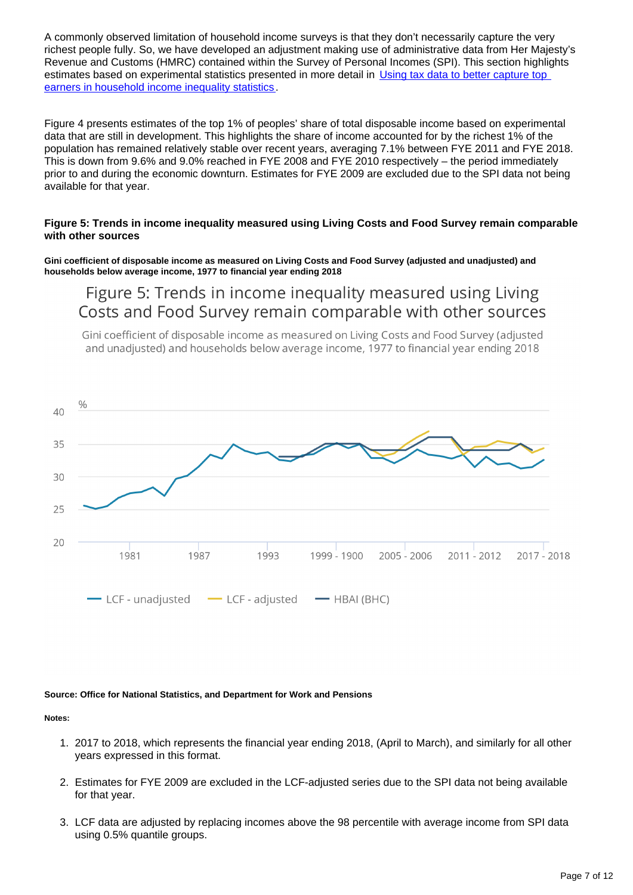A commonly observed limitation of household income surveys is that they don't necessarily capture the very richest people fully. So, we have developed an adjustment making use of administrative data from Her Majesty's Revenue and Customs (HMRC) contained within the Survey of Personal Incomes (SPI). This section highlights estimates based on experimental statistics presented in more detail in Using tax data to better capture top [earners in household income inequality statistics](https://www.ons.gov.uk/peoplepopulationandcommunity/personalandhouseholdfinances/incomeandwealth/articles/usingtaxdatatobettercapturetopearnersinhouseholdincomeinequalitystatistics/2019-02-26).

Figure 4 presents estimates of the top 1% of peoples' share of total disposable income based on experimental data that are still in development. This highlights the share of income accounted for by the richest 1% of the population has remained relatively stable over recent years, averaging 7.1% between FYE 2011 and FYE 2018. This is down from 9.6% and 9.0% reached in FYE 2008 and FYE 2010 respectively – the period immediately prior to and during the economic downturn. Estimates for FYE 2009 are excluded due to the SPI data not being available for that year.

#### **Figure 5: Trends in income inequality measured using Living Costs and Food Survey remain comparable with other sources**

**Gini coefficient of disposable income as measured on Living Costs and Food Survey (adjusted and unadjusted) and households below average income, 1977 to financial year ending 2018**

Figure 5: Trends in income inequality measured using Living Costs and Food Survey remain comparable with other sources

Gini coefficient of disposable income as measured on Living Costs and Food Survey (adjusted and unadjusted) and households below average income, 1977 to financial year ending 2018



#### **Source: Office for National Statistics, and Department for Work and Pensions**

#### **Notes:**

- 1. 2017 to 2018, which represents the financial year ending 2018, (April to March), and similarly for all other years expressed in this format.
- 2. Estimates for FYE 2009 are excluded in the LCF-adjusted series due to the SPI data not being available for that year.
- 3. LCF data are adjusted by replacing incomes above the 98 percentile with average income from SPI data using 0.5% quantile groups.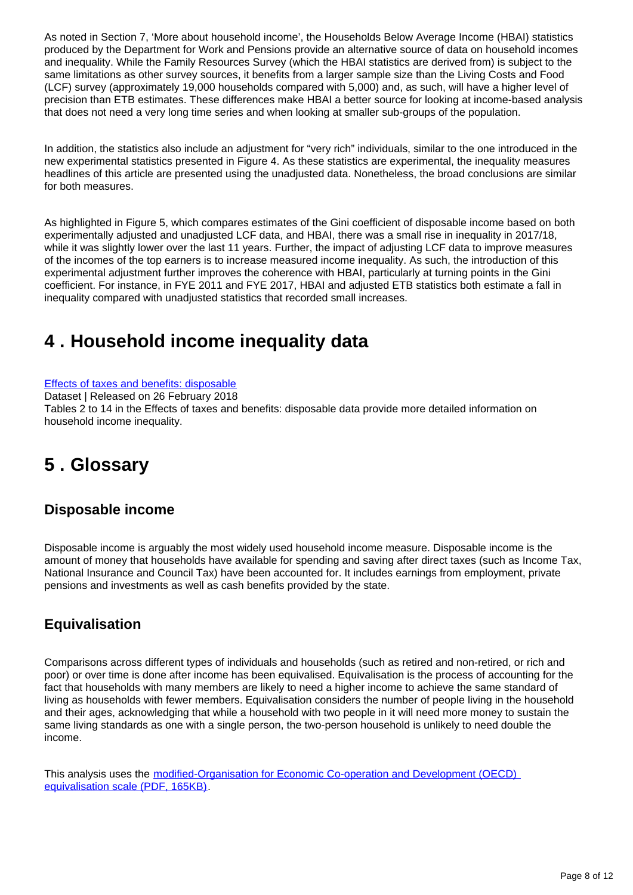As noted in Section 7, 'More about household income', the Households Below Average Income (HBAI) statistics produced by the Department for Work and Pensions provide an alternative source of data on household incomes and inequality. While the Family Resources Survey (which the HBAI statistics are derived from) is subject to the same limitations as other survey sources, it benefits from a larger sample size than the Living Costs and Food (LCF) survey (approximately 19,000 households compared with 5,000) and, as such, will have a higher level of precision than ETB estimates. These differences make HBAI a better source for looking at income-based analysis that does not need a very long time series and when looking at smaller sub-groups of the population.

In addition, the statistics also include an adjustment for "very rich" individuals, similar to the one introduced in the new experimental statistics presented in Figure 4. As these statistics are experimental, the inequality measures headlines of this article are presented using the unadjusted data. Nonetheless, the broad conclusions are similar for both measures.

As highlighted in Figure 5, which compares estimates of the Gini coefficient of disposable income based on both experimentally adjusted and unadjusted LCF data, and HBAI, there was a small rise in inequality in 2017/18, while it was slightly lower over the last 11 years. Further, the impact of adjusting LCF data to improve measures of the incomes of the top earners is to increase measured income inequality. As such, the introduction of this experimental adjustment further improves the coherence with HBAI, particularly at turning points in the Gini coefficient. For instance, in FYE 2011 and FYE 2017, HBAI and adjusted ETB statistics both estimate a fall in inequality compared with unadjusted statistics that recorded small increases.

## <span id="page-7-0"></span>**4 . Household income inequality data**

[Effects of taxes and benefits: disposable](https://www.ons.gov.uk/peoplepopulationandcommunity/personalandhouseholdfinances/incomeandwealth/datasets/householddisposableincomeandinequality)

Dataset | Released on 26 February 2018

Tables 2 to 14 in the Effects of taxes and benefits: disposable data provide more detailed information on household income inequality.

## <span id="page-7-1"></span>**5 . Glossary**

### **Disposable income**

Disposable income is arguably the most widely used household income measure. Disposable income is the amount of money that households have available for spending and saving after direct taxes (such as Income Tax, National Insurance and Council Tax) have been accounted for. It includes earnings from employment, private pensions and investments as well as cash benefits provided by the state.

### **Equivalisation**

Comparisons across different types of individuals and households (such as retired and non-retired, or rich and poor) or over time is done after income has been equivalised. Equivalisation is the process of accounting for the fact that households with many members are likely to need a higher income to achieve the same standard of living as households with fewer members. Equivalisation considers the number of people living in the household and their ages, acknowledging that while a household with two people in it will need more money to sustain the same living standards as one with a single person, the two-person household is unlikely to need double the income.

This analysis uses the [modified-Organisation for Economic Co-operation and Development \(OECD\)](http://webarchive.nationalarchives.gov.uk/20160105160709/http:/www.ons.gov.uk/ons/rel/elmr/economic-and-labour-market-review/no--1--january-2010/using-the-oecd-equivalence-scale-in-taxes-and-benefits-analysis.pdf)  [equivalisation scale \(PDF, 165KB\)](http://webarchive.nationalarchives.gov.uk/20160105160709/http:/www.ons.gov.uk/ons/rel/elmr/economic-and-labour-market-review/no--1--january-2010/using-the-oecd-equivalence-scale-in-taxes-and-benefits-analysis.pdf).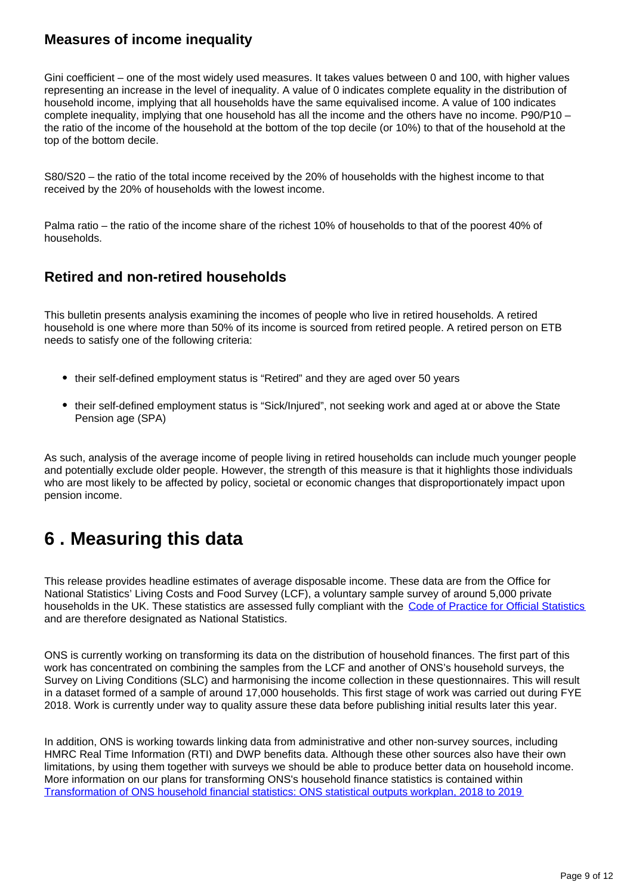### **Measures of income inequality**

Gini coefficient – one of the most widely used measures. It takes values between 0 and 100, with higher values representing an increase in the level of inequality. A value of 0 indicates complete equality in the distribution of household income, implying that all households have the same equivalised income. A value of 100 indicates complete inequality, implying that one household has all the income and the others have no income. P90/P10 – the ratio of the income of the household at the bottom of the top decile (or 10%) to that of the household at the top of the bottom decile.

S80/S20 – the ratio of the total income received by the 20% of households with the highest income to that received by the 20% of households with the lowest income.

Palma ratio – the ratio of the income share of the richest 10% of households to that of the poorest 40% of households.

### **Retired and non-retired households**

This bulletin presents analysis examining the incomes of people who live in retired households. A retired household is one where more than 50% of its income is sourced from retired people. A retired person on ETB needs to satisfy one of the following criteria:

- their self-defined employment status is "Retired" and they are aged over 50 years
- their self-defined employment status is "Sick/Injured", not seeking work and aged at or above the State Pension age (SPA)

As such, analysis of the average income of people living in retired households can include much younger people and potentially exclude older people. However, the strength of this measure is that it highlights those individuals who are most likely to be affected by policy, societal or economic changes that disproportionately impact upon pension income.

### <span id="page-8-0"></span>**6 . Measuring this data**

This release provides headline estimates of average disposable income. These data are from the Office for National Statistics' Living Costs and Food Survey (LCF), a voluntary sample survey of around 5,000 private households in the UK. These statistics are assessed fully compliant with the [Code of Practice for Official Statistics](https://www.statisticsauthority.gov.uk/code-of-practice/) and are therefore designated as National Statistics.

ONS is currently working on transforming its data on the distribution of household finances. The first part of this work has concentrated on combining the samples from the LCF and another of ONS's household surveys, the Survey on Living Conditions (SLC) and harmonising the income collection in these questionnaires. This will result in a dataset formed of a sample of around 17,000 households. This first stage of work was carried out during FYE 2018. Work is currently under way to quality assure these data before publishing initial results later this year.

In addition, ONS is working towards linking data from administrative and other non-survey sources, including HMRC Real Time Information (RTI) and DWP benefits data. Although these other sources also have their own limitations, by using them together with surveys we should be able to produce better data on household income. More information on our plans for transforming ONS's household finance statistics is contained within [Transformation of ONS household financial statistics: ONS statistical outputs workplan, 2018 to 2019](https://www.ons.gov.uk/peoplepopulationandcommunity/personalandhouseholdfinances/incomeandwealth/articles/transformationofhouseholdfinancialstatistics/statisticaloutputsworkplan2018to2019)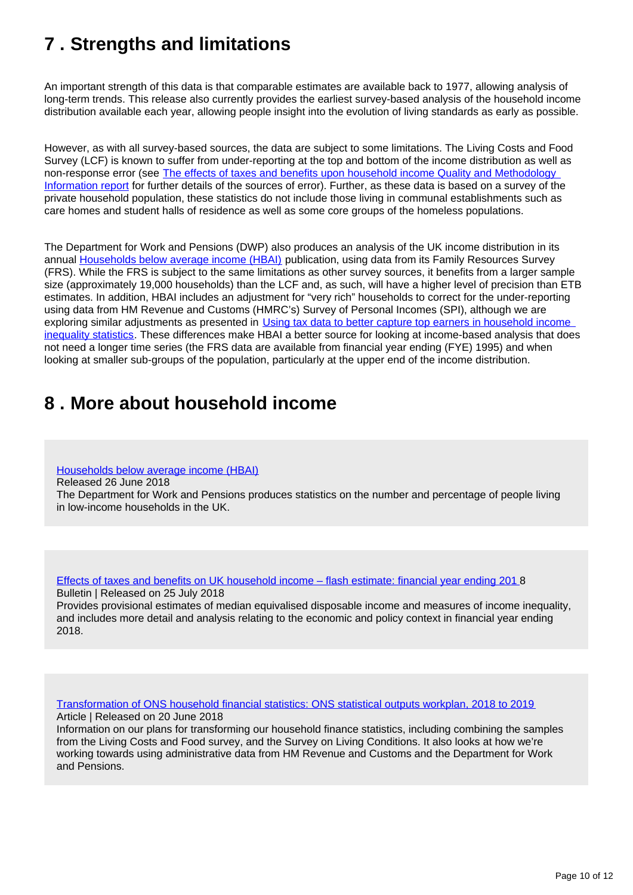## <span id="page-9-0"></span>**7 . Strengths and limitations**

An important strength of this data is that comparable estimates are available back to 1977, allowing analysis of long-term trends. This release also currently provides the earliest survey-based analysis of the household income distribution available each year, allowing people insight into the evolution of living standards as early as possible.

However, as with all survey-based sources, the data are subject to some limitations. The Living Costs and Food Survey (LCF) is known to suffer from under-reporting at the top and bottom of the income distribution as well as non-response error (see [The effects of taxes and benefits upon household income Quality and Methodology](https://www.ons.gov.uk/peoplepopulationandcommunity/personalandhouseholdfinances/incomeandwealth/qmis/theeffectsoftaxesandbenefitsonhouseholdincomeqmi)  [Information report](https://www.ons.gov.uk/peoplepopulationandcommunity/personalandhouseholdfinances/incomeandwealth/qmis/theeffectsoftaxesandbenefitsonhouseholdincomeqmi) for further details of the sources of error). Further, as these data is based on a survey of the private household population, these statistics do not include those living in communal establishments such as care homes and student halls of residence as well as some core groups of the homeless populations.

The Department for Work and Pensions (DWP) also produces an analysis of the UK income distribution in its annual [Households below average income \(HBAI\)](https://www.gov.uk/government/collections/households-below-average-income-hbai--2) publication, using data from its Family Resources Survey (FRS). While the FRS is subject to the same limitations as other survey sources, it benefits from a larger sample size (approximately 19,000 households) than the LCF and, as such, will have a higher level of precision than ETB estimates. In addition, HBAI includes an adjustment for "very rich" households to correct for the under-reporting using data from HM Revenue and Customs (HMRC's) Survey of Personal Incomes (SPI), although we are exploring similar adjustments as presented in [Using tax data to better capture top earners in household income](http://usingtaxdatatobettercapturetopearnersinhouseholdincomeinequalitystatistics)  [inequality statistics](http://usingtaxdatatobettercapturetopearnersinhouseholdincomeinequalitystatistics). These differences make HBAI a better source for looking at income-based analysis that does not need a longer time series (the FRS data are available from financial year ending (FYE) 1995) and when looking at smaller sub-groups of the population, particularly at the upper end of the income distribution.

### <span id="page-9-1"></span>**8 . More about household income**

[Households below average income \(HBAI\)](https://www.gov.uk/government/collections/households-below-average-income-hbai--2)

Released 26 June 2018

The Department for Work and Pensions produces statistics on the number and percentage of people living in low-income households in the UK.

[Effects of taxes and benefits on UK household income – flash estimate: financial year ending 201](https://www.ons.gov.uk/peoplepopulationandcommunity/personalandhouseholdfinances/incomeandwealth/bulletins/nowcastinghouseholdincomeintheuk/financialyearending2018) 8 Bulletin | Released on 25 July 2018

Provides provisional estimates of median equivalised disposable income and measures of income inequality, and includes more detail and analysis relating to the economic and policy context in financial year ending 2018.

[Transformation of ONS household financial statistics: ONS statistical outputs workplan, 2018 to 2019](https://www.ons.gov.uk/peoplepopulationandcommunity/personalandhouseholdfinances/incomeandwealth/articles/transformationofhouseholdfinancialstatistics/statisticaloutputsworkplan2018to2019)

Article | Released on 20 June 2018 Information on our plans for transforming our household finance statistics, including combining the samples from the Living Costs and Food survey, and the Survey on Living Conditions. It also looks at how we're working towards using administrative data from HM Revenue and Customs and the Department for Work and Pensions.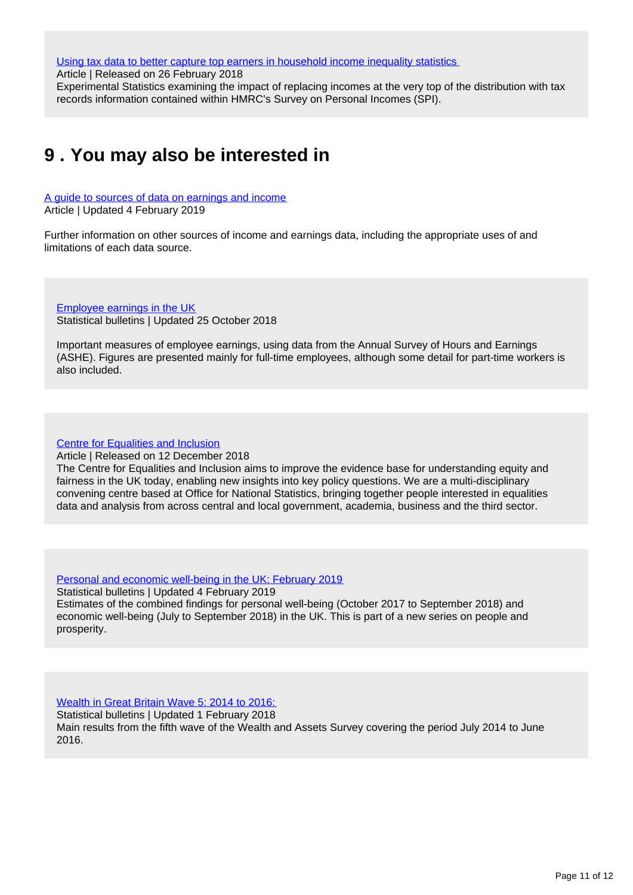[Using tax data to better capture top earners in household income inequality statistics](https://www.ons.gov.uk/peoplepopulationandcommunity/personalandhouseholdfinances/incomeandwealth/articles/usingtaxdatatobettercapturetopearnersinhouseholdincomeinequalitystatistics/2019-02-26)

Article | Released on 26 February 2018

Experimental Statistics examining the impact of replacing incomes at the very top of the distribution with tax records information contained within HMRC's Survey on Personal Incomes (SPI).

### <span id="page-10-0"></span>**9 . You may also be interested in**

[A guide to sources of data on earnings and income](https://www.ons.gov.uk/employmentandlabourmarket/peopleinwork/earningsandworkinghours/methodologies/aguidetosourcesofdataonearningsandincome) Article | Updated 4 February 2019

Further information on other sources of income and earnings data, including the appropriate uses of and limitations of each data source.

[Employee earnings in the UK](https://www.ons.gov.uk/employmentandlabourmarket/peopleinwork/earningsandworkinghours/bulletins/annualsurveyofhoursandearnings/previousReleases) Statistical bulletins | Updated 25 October 2018

Important measures of employee earnings, using data from the Annual Survey of Hours and Earnings (ASHE). Figures are presented mainly for full-time employees, although some detail for part-time workers is also included.

[Centre for Equalities and Inclusion](https://www.ons.gov.uk/aboutus/whatwedo/programmesandprojects/centreforequalitiesandinclusion)

Article | Released on 12 December 2018

The Centre for Equalities and Inclusion aims to improve the evidence base for understanding equity and fairness in the UK today, enabling new insights into key policy questions. We are a multi-disciplinary convening centre based at Office for National Statistics, bringing together people interested in equalities data and analysis from across central and local government, academia, business and the third sector.

[Personal and economic well-being in the UK: February 2019](https://www.ons.gov.uk/peoplepopulationandcommunity/wellbeing/bulletins/personalandeconomicwellbeingintheuk/september2018)

Statistical bulletins | Updated 4 February 2019 Estimates of the combined findings for personal well-being (October 2017 to September 2018) and economic well-being (July to September 2018) in the UK. This is part of a new series on people and prosperity.

[Wealth in Great Britain Wave 5: 2014 to 2016:](https://www.ons.gov.uk/peoplepopulationandcommunity/personalandhouseholdfinances/incomeandwealth/bulletins/wealthingreatbritainwave5/2014to2016)

Statistical bulletins | Updated 1 February 2018 Main results from the fifth wave of the Wealth and Assets Survey covering the period July 2014 to June 2016.